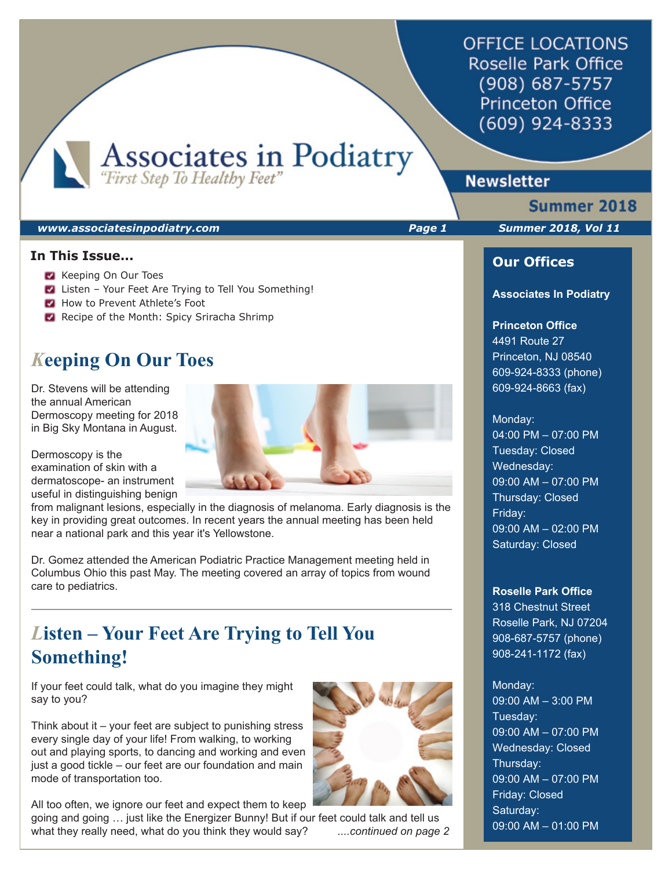**OFFICE LOCATIONS** Roselle Park Office (908) 687-5757 **Princeton Office**  $(609)$  924-8333

Associates in Podiatry

# **Newsletter**

### *www.associatesinpodiatry.com Page 1 Summer 2018, Vol 11*

## **In This Issue...**

- Keeping On Our Toes
- Listen Your Feet Are Trying to Tell You Something!
- How to Prevent Athlete's Foot
- Recipe of the Month: Spicy Sriracha Shrimp

# *K***eeping On Our Toes**

Dr. Stevens will be attending the annual American Dermoscopy meeting for 2018 in Big Sky Montana in August.

Dermoscopy is the examination of skin with a dermatoscope- an instrument useful in distinguishing benign

from malignant lesions, especially in the diagnosis of melanoma. Early diagnosis is the key in providing great outcomes. In recent years the annual meeting has been held near a national park and this year it's Yellowstone.

Dr. Gomez attended the American Podiatric Practice Management meeting held in Columbus Ohio this past May. The meeting covered an array of topics from wound care to pediatrics.

# *L***isten – Your Feet Are Trying to Tell You Something!**

If your feet could talk, what do you imagine they might say to you?

Think about it – your feet are subject to punishing stress every single day of your life! From walking, to working out and playing sports, to dancing and working and even just a good tickle – our feet are our foundation and main mode of transportation too.

All too often, we ignore our feet and expect them to keep going and going … just like the Energizer Bunny! But if our feet could talk and tell us what they really need, what do you think they would say? *....continued on page 2*



Summer 2018

֦

## **Our Offices**

#### **Associates In Podiatry**

### **Princeton Office**

4491 Route 27 Princeton, NJ 08540 609-924-8333 (phone) 609-924-8663 (fax)

#### Monday:

04:00 PM – 07:00 PM Tuesday: Closed Wednesday: 09:00 AM – 07:00 PM Thursday: Closed Friday: 09:00 AM – 02:00 PM Saturday: Closed

#### **Roselle Park Office**

318 Chestnut Street Roselle Park, NJ 07204 908-687-5757 (phone) 908-241-1172 (fax)

# Monday:

09:00 AM – 3:00 PM Tuesday: 09:00 AM – 07:00 PM Wednesday: Closed Thursday: 09:00 AM – 07:00 PM Friday: Closed Saturday: 09:00 AM – 01:00 PM

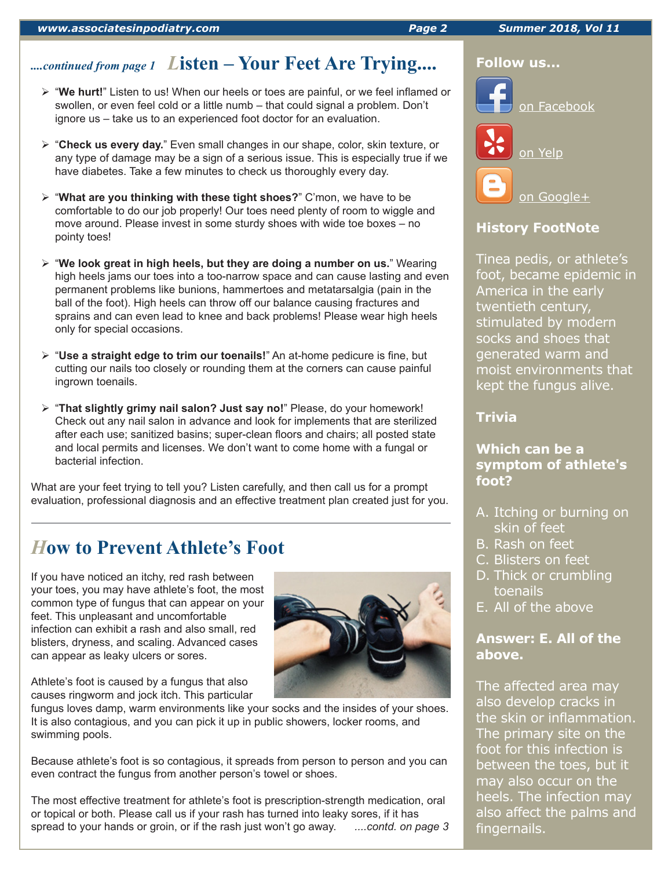# *....continued from page 1 L***isten – Your Feet Are Trying....**

- "**We hurt!**" Listen to us! When our heels or toes are painful, or we feel inflamed or swollen, or even feel cold or a little numb – that could signal a problem. Don't ignore us – take us to an experienced foot doctor for an evaluation.
- > "Check us every day." Even small changes in our shape, color, skin texture, or any type of damage may be a sign of a serious issue. This is especially true if we have diabetes. Take a few minutes to check us thoroughly every day.
- "**What are you thinking with these tight shoes?**" C'mon, we have to be comfortable to do our job properly! Our toes need plenty of room to wiggle and move around. Please invest in some sturdy shoes with wide toe boxes – no pointy toes!
- "**We look great in high heels, but they are doing a number on us.**" Wearing high heels jams our toes into a too-narrow space and can cause lasting and even permanent problems like bunions, hammertoes and metatarsalgia (pain in the ball of the foot). High heels can throw off our balance causing fractures and sprains and can even lead to knee and back problems! Please wear high heels only for special occasions.
- "**Use a straight edge to trim our toenails!**" An at-home pedicure is fine, but cutting our nails too closely or rounding them at the corners can cause painful ingrown toenails.
- "**That slightly grimy nail salon? Just say no!**" Please, do your homework! Check out any nail salon in advance and look for implements that are sterilized after each use; sanitized basins; super-clean floors and chairs; all posted state and local permits and licenses. We don't want to come home with a fungal or bacterial infection.

What are your feet trying to tell you? Listen carefully, and then call us for a prompt evaluation, professional diagnosis and an effective treatment plan created just for you.

# *H***ow to Prevent Athlete's Foot**

If you have noticed an itchy, red rash between your toes, you may have athlete's foot, the most common type of fungus that can appear on your feet. This unpleasant and uncomfortable infection can exhibit a rash and also small, red blisters, dryness, and scaling. Advanced cases can appear as leaky ulcers or sores.

Athlete's foot is caused by a fungus that also causes ringworm and jock itch. This particular

fungus loves damp, warm environments like your socks and the insides of your shoes. It is also contagious, and you can pick it up in public showers, locker rooms, and swimming pools.

Because athlete's foot is so contagious, it spreads from person to person and you can even contract the fungus from another person's towel or shoes.

The most effective treatment for athlete's foot is prescription-strength medication, oral or topical or both. Please call us if your rash has turned into leaky sores, if it has spread to your hands or groin, or if the rash just won't go away. *....contd. on page 3* **Trivia**

# **Which can be a symptom of athlete's foot?**

- A. Itching or burning on skin of feet
- B. Rash on feet
- C. Blisters on feet
- D. Thick or crumbling toenails
- E. All of the above

# **Answer: E. All of the above.**

The affected area may also develop cracks in the skin or inflammation. The primary site on the foot for this infection is between the toes, but it may also occur on the heels. The infection may also affect the palms and fingernails.



## **Follow us...**



**History FootNote**

America in the early twentieth century, stimulated by modern socks and shoes that generated warm and moist environments that kept the fungus alive.

Tinea pedis, or athlete's foot, became epidemic in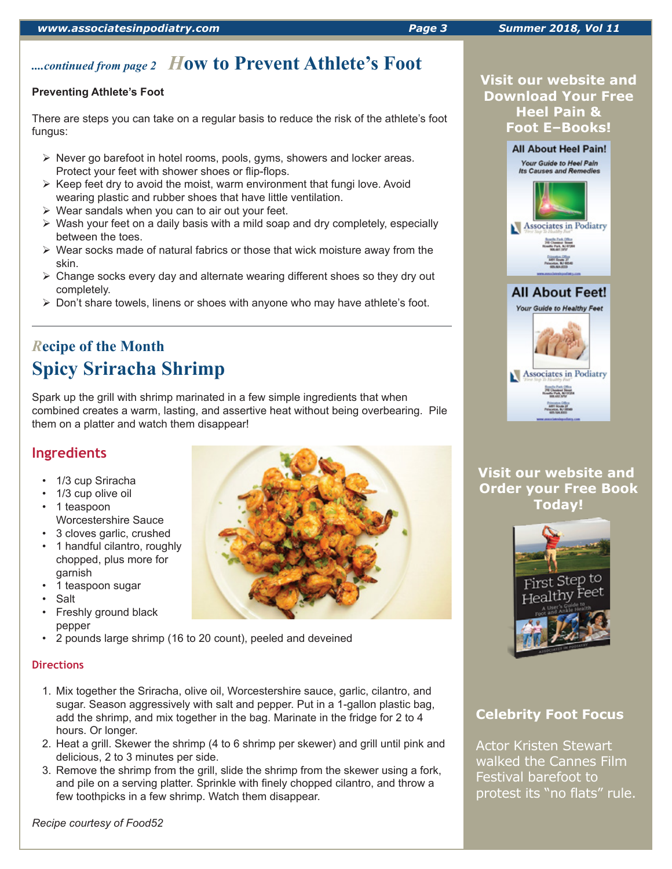# *....continued from page 2 H***ow to Prevent Athlete's Foot**

## **Preventing Athlete's Foot**

There are steps you can take on a regular basis to reduce the risk of the athlete's foot fungus:

- $\triangleright$  Never go barefoot in hotel rooms, pools, gyms, showers and locker areas. Protect your feet with shower shoes or flip-flops.
- $\triangleright$  Keep feet dry to avoid the moist, warm environment that fungi love. Avoid wearing plastic and rubber shoes that have little ventilation.
- $\triangleright$  Wear sandals when you can to air out your feet.
- $\triangleright$  Wash your feet on a daily basis with a mild soap and dry completely, especially between the toes.
- $\triangleright$  Wear socks made of natural fabrics or those that wick moisture away from the skin.
- Change socks every day and alternate wearing different shoes so they dry out completely.
- $\triangleright$  Don't share towels, linens or shoes with anyone who may have athlete's foot.

# *R***ecipe of the Month Spicy Sriracha Shrimp**

Spark up the grill with shrimp marinated in a few simple ingredients that when combined creates a warm, lasting, and assertive heat without being overbearing. Pile them on a platter and watch them disappear!

# **Ingredients**

- 1/3 cup Sriracha
- 1/3 cup olive oil
- 1 teaspoon Worcestershire Sauce
- 3 cloves garlic, crushed
- 1 handful cilantro, roughly chopped, plus more for garnish
- 1 teaspoon sugar
- **Salt**
- Freshly ground black pepper
- 2 pounds large shrimp (16 to 20 count), peeled and deveined

## **Directions**

- 1. Mix together the Sriracha, olive oil, Worcestershire sauce, garlic, cilantro, and sugar. Season aggressively with salt and pepper. Put in a 1-gallon plastic bag, add the shrimp, and mix together in the bag. Marinate in the fridge for 2 to 4 hours. Or longer.
- 2. Heat a grill. Skewer the shrimp (4 to 6 shrimp per skewer) and grill until pink and delicious, 2 to 3 minutes per side.
- 3. Remove the shrimp from the grill, slide the shrimp from the skewer using a fork, and pile on a serving platter. Sprinkle with finely chopped cilantro, and throw a few toothpicks in a few shrimp. Watch them disappear.

*Recipe courtesy of Food52*







**Visit our website and Order your Free Book Today!**



# **Celebrity Foot Focus**

Actor Kristen Stewart walked the Cannes Film Festival barefoot to protest its "no flats" rule.